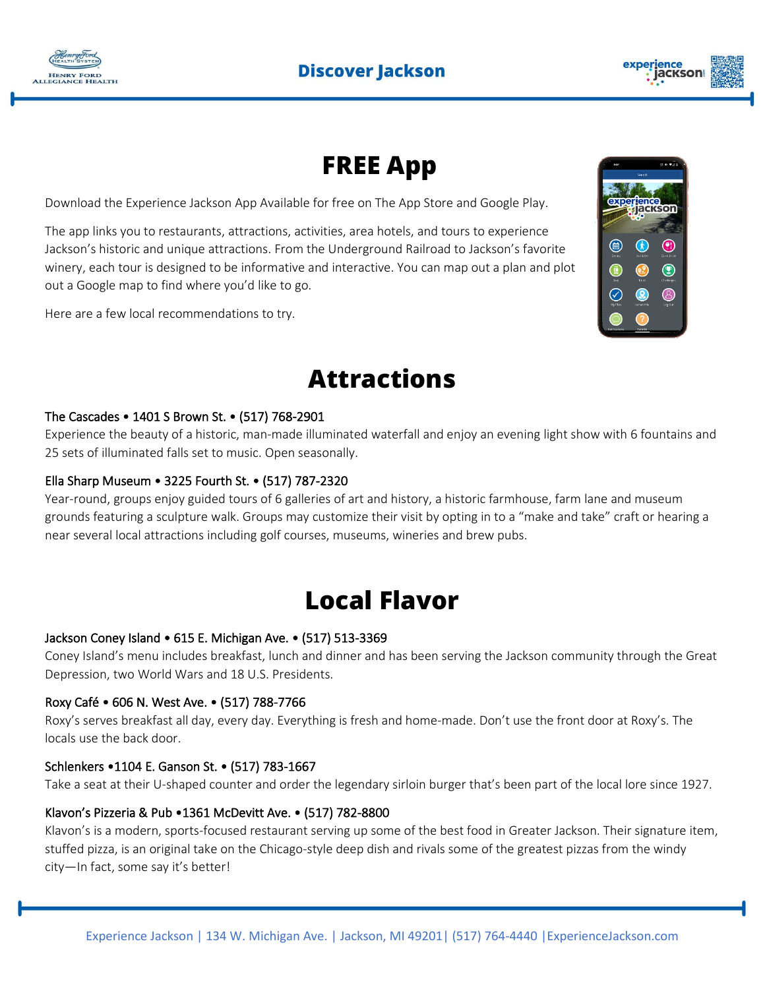



### **FREE App**

Download the Experience Jackson App Available for free on The App Store and Google Play.

The app links you to restaurants, attractions, activities, area hotels, and tours to experience Jackson's historic and unique attractions. From the Underground Railroad to Jackson's favorite winery, each tour is designed to be informative and interactive. You can map out a plan and plot out a Google map to find where you'd like to go.

Here are a few local recommendations to try.



### **Attractions**

#### The Cascades • 1401 S Brown St. • (517) 768-2901

Experience the beauty of a historic, man-made illuminated waterfall and enjoy an evening light show with 6 fountains and 25 sets of illuminated falls set to music. Open seasonally.

#### Ella Sharp Museum • 3225 Fourth St. • (517) 787-2320

Year-round, groups enjoy guided tours of 6 galleries of art and history, a historic farmhouse, farm lane and museum grounds featuring a sculpture walk. Groups may customize their visit by opting in to a "make and take" craft or hearing a near several local attractions including golf courses, museums, wineries and brew pubs.

### **Local Flavor**

#### Jackson Coney Island • 615 E. Michigan Ave. • (517) 513-3369

Coney Island's menu includes breakfast, lunch and dinner and has been serving the Jackson community through the Great Depression, two World Wars and 18 U.S. Presidents.

#### Roxy Café • 606 N. West Ave. • (517) 788-7766

Roxy's serves breakfast all day, every day. Everything is fresh and home-made. Don't use the front door at Roxy's. The locals use the back door.

#### Schlenkers •1104 E. Ganson St. • (517) 783-1667

Take a seat at their U-shaped counter and order the legendary sirloin burger that's been part of the local lore since 1927.

#### Klavon's Pizzeria & Pub •1361 McDevitt Ave. • (517) 782-8800

Klavon's is a modern, sports-focused restaurant serving up some of the best food in Greater Jackson. Their signature item, stuffed pizza, is an original take on the Chicago-style deep dish and rivals some of the greatest pizzas from the windy city—In fact, some say it's better!